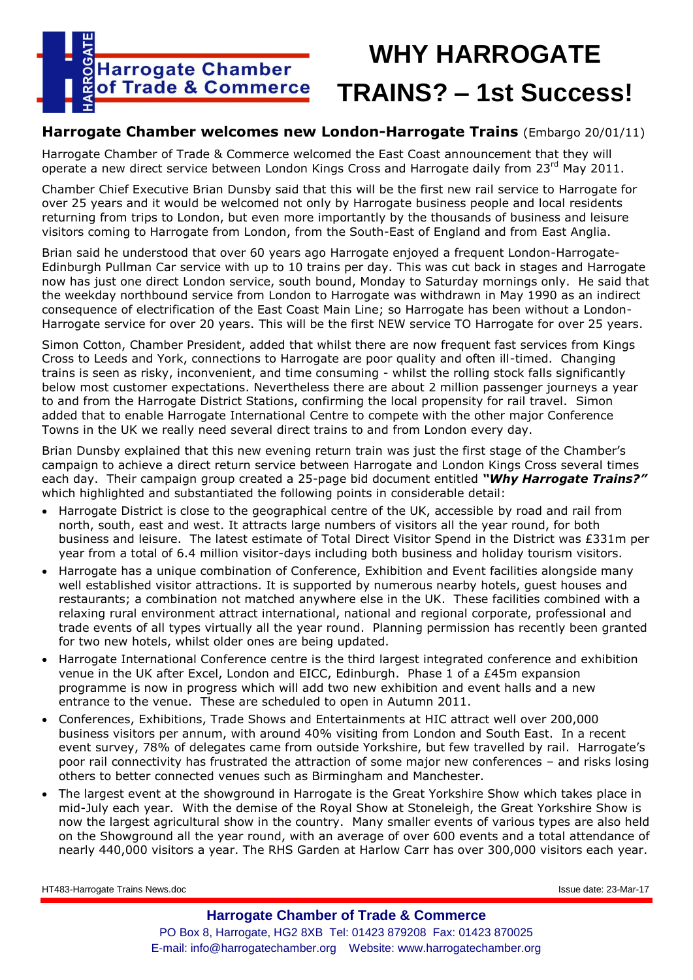

# **WHY HARROGATE TRAINS? – 1st Success!**

## **Harrogate Chamber welcomes new London-Harrogate Trains** (Embargo 20/01/11)

Harrogate Chamber of Trade & Commerce welcomed the East Coast announcement that they will operate a new direct service between London Kings Cross and Harrogate daily from 23rd May 2011.

Chamber Chief Executive Brian Dunsby said that this will be the first new rail service to Harrogate for over 25 years and it would be welcomed not only by Harrogate business people and local residents returning from trips to London, but even more importantly by the thousands of business and leisure visitors coming to Harrogate from London, from the South-East of England and from East Anglia.

Brian said he understood that over 60 years ago Harrogate enjoyed a frequent London-Harrogate-Edinburgh Pullman Car service with up to 10 trains per day. This was cut back in stages and Harrogate now has just one direct London service, south bound, Monday to Saturday mornings only. He said that the weekday northbound service from London to Harrogate was withdrawn in May 1990 as an indirect consequence of electrification of the East Coast Main Line; so Harrogate has been without a London-Harrogate service for over 20 years. This will be the first NEW service TO Harrogate for over 25 years.

Simon Cotton, Chamber President, added that whilst there are now frequent fast services from Kings Cross to Leeds and York, connections to Harrogate are poor quality and often ill-timed. Changing trains is seen as risky, inconvenient, and time consuming - whilst the rolling stock falls significantly below most customer expectations. Nevertheless there are about 2 million passenger journeys a year to and from the Harrogate District Stations, confirming the local propensity for rail travel. Simon added that to enable Harrogate International Centre to compete with the other major Conference Towns in the UK we really need several direct trains to and from London every day.

Brian Dunsby explained that this new evening return train was just the first stage of the Chamber's campaign to achieve a direct return service between Harrogate and London Kings Cross several times each day. Their campaign group created a 25-page bid document entitled *"Why Harrogate Trains?"* which highlighted and substantiated the following points in considerable detail:

- Harrogate District is close to the geographical centre of the UK, accessible by road and rail from north, south, east and west. It attracts large numbers of visitors all the year round, for both business and leisure. The latest estimate of Total Direct Visitor Spend in the District was £331m per year from a total of 6.4 million visitor-days including both business and holiday tourism visitors.
- Harrogate has a unique combination of Conference, Exhibition and Event facilities alongside many well established visitor attractions. It is supported by numerous nearby hotels, guest houses and restaurants; a combination not matched anywhere else in the UK. These facilities combined with a relaxing rural environment attract international, national and regional corporate, professional and trade events of all types virtually all the year round. Planning permission has recently been granted for two new hotels, whilst older ones are being updated.
- Harrogate International Conference centre is the third largest integrated conference and exhibition venue in the UK after Excel, London and EICC, Edinburgh. Phase 1 of a £45m expansion programme is now in progress which will add two new exhibition and event halls and a new entrance to the venue. These are scheduled to open in Autumn 2011.
- Conferences, Exhibitions, Trade Shows and Entertainments at HIC attract well over 200,000 business visitors per annum, with around 40% visiting from London and South East. In a recent event survey, 78% of delegates came from outside Yorkshire, but few travelled by rail. Harrogate's poor rail connectivity has frustrated the attraction of some major new conferences – and risks losing others to better connected venues such as Birmingham and Manchester.
- The largest event at the showground in Harrogate is the Great Yorkshire Show which takes place in mid-July each year. With the demise of the Royal Show at Stoneleigh, the Great Yorkshire Show is now the largest agricultural show in the country. Many smaller events of various types are also held on the Showground all the year round, with an average of over 600 events and a total attendance of nearly 440,000 visitors a year. The RHS Garden at Harlow Carr has over 300,000 visitors each year.

HT483-Harrogate Trains News.doc Issue date: 23-Mar-17